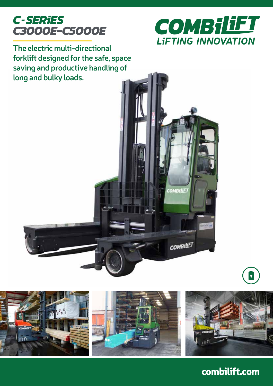



**COMBILIET** 

**COMBILIET** 

**The electric multi-directional forklift designed for the safe, space saving and productive handling of long and bulky loads.**



## combilift.com

 $\vert \hspace{0.1cm} \textbf{+}$